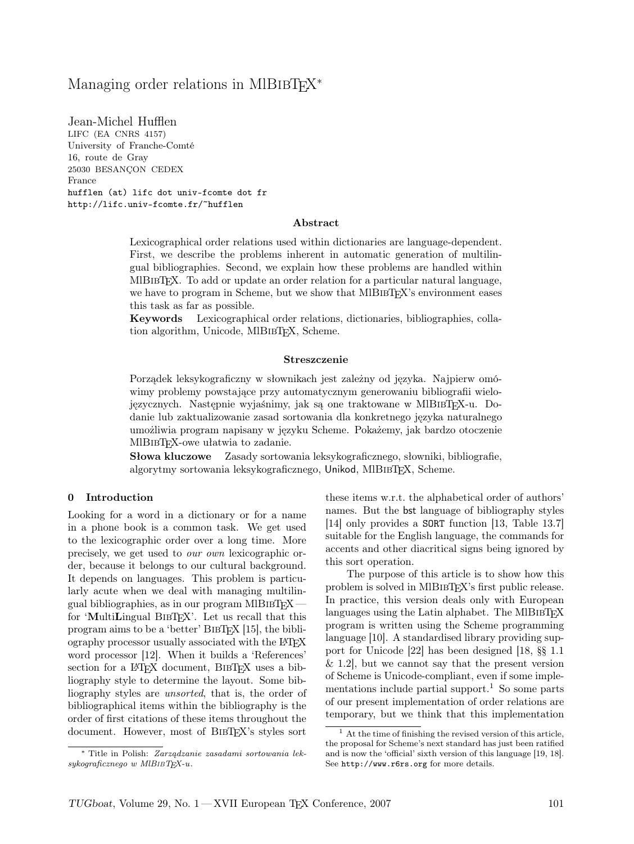# Managing order relations in MIBIBTEX<sup>\*</sup>

Jean-Michel Hufflen LIFC (EA CNRS 4157) University of Franche-Comté 16, route de Gray 25030 BESANÇON CEDEX France hufflen (at) lifc dot univ-fcomte dot fr http://lifc.univ-fcomte.fr/~hufflen

#### Abstract

Lexicographical order relations used within dictionaries are language-dependent. First, we describe the problems inherent in automatic generation of multilingual bibliographies. Second, we explain how these problems are handled within MlBibTEX. To add or update an order relation for a particular natural language, we have to program in Scheme, but we show that MlBIBTEX's environment eases this task as far as possible.

Keywords Lexicographical order relations, dictionaries, bibliographies, collation algorithm, Unicode, MIBIBT<sub>F</sub>X, Scheme.

#### Streszczenie

Porządek leksykograficzny w słownikach jest zależny od języka. Najpierw omówimy problemy powstające przy automatycznym generowaniu bibliografii wielojęzycznych. Następnie wyjaśnimy, jak są one traktowane w MlBIBTFX-u. Dodanie lub zaktualizowanie zasad sortowania dla konkretnego języka naturalnego umożliwia program napisany w języku Scheme. Pokażemy, jak bardzo otoczenie MIBIBTEX-owe ułatwia to zadanie.

Słowa kluczowe Zasady sortowania leksykograficznego, słowniki, bibliografie, algorytmy sortowania leksykograficznego, Unikod, MlBIBTFX, Scheme.

#### 0 Introduction

Looking for a word in a dictionary or for a name in a phone book is a common task. We get used to the lexicographic order over a long time. More precisely, we get used to our own lexicographic order, because it belongs to our cultural background. It depends on languages. This problem is particularly acute when we deal with managing multilingual bibliographies, as in our program MIBIBT $\bar{F}X$  – for 'MultiLingual BIBT<sub>EX</sub>'. Let us recall that this program aims to be a 'better' BibTEX [15], the bibliography processor usually associated with the L<sup>AT</sup>EX word processor [12]. When it builds a 'References' section for a LATEX document, BIBTEX uses a bibliography style to determine the layout. Some bibliography styles are unsorted, that is, the order of bibliographical items within the bibliography is the order of first citations of these items throughout the document. However, most of BIBTFX's styles sort these items w.r.t. the alphabetical order of authors' names. But the bst language of bibliography styles [14] only provides a SORT function [13, Table 13.7] suitable for the English language, the commands for accents and other diacritical signs being ignored by this sort operation.

The purpose of this article is to show how this problem is solved in MIBIBTFX's first public release. In practice, this version deals only with European languages using the Latin alphabet. The MIBIBT<sub>EX</sub> program is written using the Scheme programming language [10]. A standardised library providing support for Unicode [22] has been designed [18, §§ 1.1  $\&$  1.2, but we cannot say that the present version of Scheme is Unicode-compliant, even if some implementations include partial support.<sup>1</sup> So some parts of our present implementation of order relations are temporary, but we think that this implementation

<sup>∗</sup> Title in Polish: Zarządzanie zasadami sortowania leksykograficznego w MlBIBTEX-u.

<sup>1</sup> At the time of finishing the revised version of this article, the proposal for Scheme's next standard has just been ratified and is now the 'official' sixth version of this language [19, 18]. See http://www.r6rs.org for more details.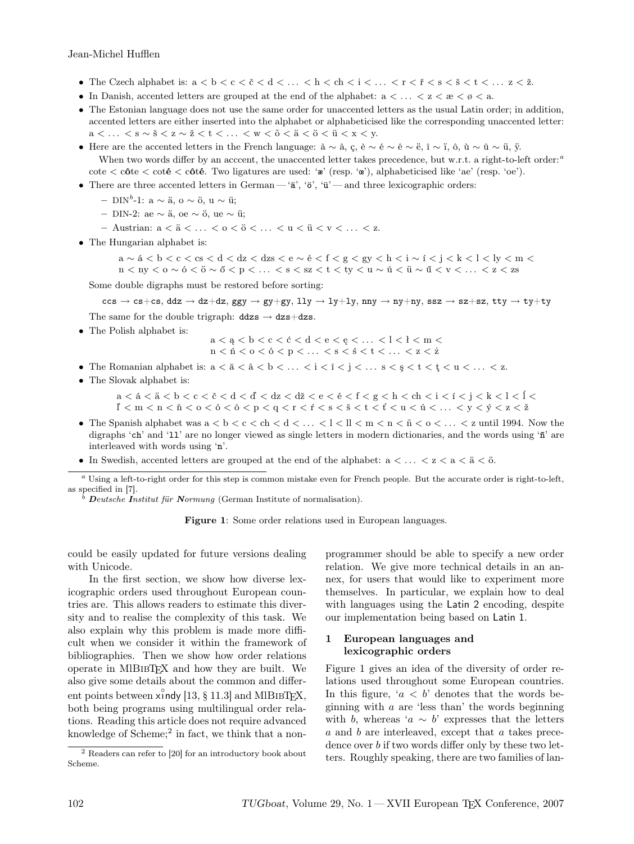- The Czech alphabet is:  $a < b < c < \check{c} < d < \ldots < h < ch < i < \ldots < r < \check{r} < s < \check{s} < t < \ldots$   $z < \check{z}$ .
- In Danish, accented letters are grouped at the end of the alphabet:  $a < \ldots < z < \infty < \emptyset < a$ .
- The Estonian language does not use the same order for unaccented letters as the usual Latin order; in addition, accented letters are either inserted into the alphabet or alphabeticised like the corresponding unaccented letter: a < ... < s ∼ š < z ∼ ž < t < ... < w < õ < ä < ö < ü < x < y.
- Here are the accented letters in the French language:  $\hat{a} \sim \hat{a}$ ,  $\hat{c}$ ,  $\hat{e} \sim \hat{e} \sim \hat{e} \sim \hat{e}$ ,  $\hat{i} \sim \hat{i}$ ,  $\hat{o}$ ,  $\hat{u} \sim \hat{u} \sim \hat{u}$ ,  $\hat{y}$ . When two words differ by an acccent, the unaccented letter takes precedence, but w.r.t. a right-to-left order:  $a$  $\cot \epsilon < \cot \epsilon < \cot \epsilon$ . Two ligatures are used: ' $\ast$ ' (resp. ' $\alpha$ '), alphabeticised like 'ae' (resp. 'oe').
- There are three accented letters in German 'ä', 'ö', 'ü'— and three lexicographic orders:
	- DIN<sup>b</sup> -1: a ∼ ä, o ∼ ö, u ∼ ü;
	- DIN-2: ae ∼ ä, oe ∼ ö, ue ∼ ü;
	- Austrian:  $a < a < ... < o < b < ... < u < a < v < ... < z$ .
- The Hungarian alphabet is:

$$
a \sim a < b < c < cs < d < dz < dz < e \sim e < f < g < gy < h < i < j < k < l < ly < m < n < n < y < o \sim b < \ddot{o} < \ddot{p} < \ldots < s < sz < t < ty < u < \ddot{u} < \ddot{u} < \ddot{v} < v < \ldots < z < zs
$$

Some double digraphs must be restored before sorting:

ccs  $\rightarrow$  cs+cs, ddz  $\rightarrow$  dz+dz, ggy  $\rightarrow$  gy+gy, lly  $\rightarrow$  ly+ly, nny  $\rightarrow$  ny+ny, ssz  $\rightarrow$  sz+sz, tty  $\rightarrow$  ty+ty

The same for the double trigraph:  $ddzs \rightarrow dzs + dzs$ .

• The Polish alphabet is:

a < ą < b < c < ć < d < e < ę < ... < l < l < m <  $n < n < o < o < p < \ldots < s < s < t < \ldots < z < z$ 

- The Romanian alphabet is:  $a < a < b < \ldots < i < j < j < \ldots$  s  $a < b < b < \ldots$  s  $a < b < b < a$ .
- The Slovak alphabet is:

 $a < a < b < c < b < d < d$  in the set of  $a < b < c < b < c$  in the set of  $a < b < c$  in the set of  $a < a < b < c$  in the set of  $a < b < c$  in the set of  $a < b < c$  in the set of  $a < b < c$  in the set of  $a < b < c$  in the set of  $a < b < c$  in the set of  $a < b < c$  i  $\mathbf{I}' < \mathbf{m} < \mathbf{n} < \mathbf{\check{n}} < \mathbf{o} < \mathbf{\acute{o}} < \mathbf{\hat{o}} < \mathbf{p} < \mathbf{q} < \mathbf{r} < \mathbf{\acute{r}} < \mathbf{s} < \mathbf{\check{s}} < \mathbf{t} < \mathbf{t} < \mathbf{u} < \mathbf{\acute{u}} < \mathbf{u} < \mathbf{y} < \mathbf{\acute{v}} < \mathbf{z} < \mathbf{\check{z}}$ 

- The Spanish alphabet was  $a < b < c < ch < d < \ldots < l < ll < m < n < \tilde{n} < o < \ldots < z$  until 1994. Now the digraphs 'ch' and 'll' are no longer viewed as single letters in modern dictionaries, and the words using 'ñ' are interleaved with words using 'n'.
- In Swedish, accented letters are grouped at the end of the alphabet:  $a < \ldots < z < a < a < \ddot{a}$ .

 $\bar{b}$  Deutsche Institut für Normung (German Institute of normalisation).

Figure 1: Some order relations used in European languages.

could be easily updated for future versions dealing with Unicode.

In the first section, we show how diverse lexicographic orders used throughout European countries are. This allows readers to estimate this diversity and to realise the complexity of this task. We also explain why this problem is made more difficult when we consider it within the framework of bibliographies. Then we show how order relations operate in MlBibTEX and how they are built. We also give some details about the common and different points between  $x_1^{\circ}$ ndy [13, § 11.3] and MlBIBTEX, both being programs using multilingual order relations. Reading this article does not require advanced knowledge of  $\text{Scheme};^2$  in fact, we think that a nonprogrammer should be able to specify a new order relation. We give more technical details in an annex, for users that would like to experiment more themselves. In particular, we explain how to deal with languages using the Latin 2 encoding, despite our implementation being based on Latin 1.

### 1 European languages and lexicographic orders

Figure 1 gives an idea of the diversity of order relations used throughout some European countries. In this figure,  $a < b'$  denotes that the words beginning with  $a$  are 'less than' the words beginning with b, whereas 'a  $\sim b$ ' expresses that the letters a and b are interleaved, except that a takes precedence over b if two words differ only by these two letters. Roughly speaking, there are two families of lan-

<sup>a</sup> Using a left-to-right order for this step is common mistake even for French people. But the accurate order is right-to-left, as specified in [7].

<sup>2</sup> Readers can refer to [20] for an introductory book about Scheme.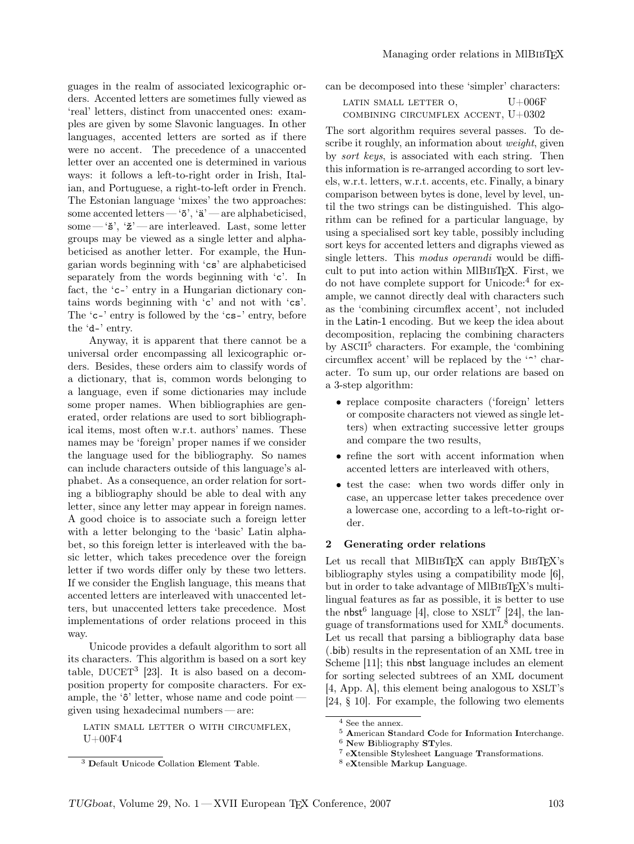guages in the realm of associated lexicographic orders. Accented letters are sometimes fully viewed as 'real' letters, distinct from unaccented ones: examples are given by some Slavonic languages. In other languages, accented letters are sorted as if there were no accent. The precedence of a unaccented letter over an accented one is determined in various ways: it follows a left-to-right order in Irish, Italian, and Portuguese, a right-to-left order in French. The Estonian language 'mixes' the two approaches: some accented letters— $\ddot{\circ}$ ,  $\ddot{\circ}$  — are alphabeticised, some — ' $\ddot{\mathbf{s}}$ ', ' $\ddot{\mathbf{z}}$ ' — are interleaved. Last, some letter groups may be viewed as a single letter and alphabeticised as another letter. For example, the Hungarian words beginning with 'cs' are alphabeticised separately from the words beginning with 'c'. In fact, the 'c-' entry in a Hungarian dictionary contains words beginning with 'c' and not with 'cs'. The 'c-' entry is followed by the 'cs-' entry, before the 'd-' entry.

Anyway, it is apparent that there cannot be a universal order encompassing all lexicographic orders. Besides, these orders aim to classify words of a dictionary, that is, common words belonging to a language, even if some dictionaries may include some proper names. When bibliographies are generated, order relations are used to sort bibliographical items, most often w.r.t. authors' names. These names may be 'foreign' proper names if we consider the language used for the bibliography. So names can include characters outside of this language's alphabet. As a consequence, an order relation for sorting a bibliography should be able to deal with any letter, since any letter may appear in foreign names. A good choice is to associate such a foreign letter with a letter belonging to the 'basic' Latin alphabet, so this foreign letter is interleaved with the basic letter, which takes precedence over the foreign letter if two words differ only by these two letters. If we consider the English language, this means that accented letters are interleaved with unaccented letters, but unaccented letters take precedence. Most implementations of order relations proceed in this way.

Unicode provides a default algorithm to sort all its characters. This algorithm is based on a sort key table,  $DUCET^3$  [23]. It is also based on a decomposition property for composite characters. For example, the 'ô' letter, whose name and code point given using hexadecimal numbers— are:

latin small letter o with circumflex,  $U+00F4$ 

can be decomposed into these 'simpler' characters:

| LATIN SMALL LETTER O,                 | $U+006F$ |
|---------------------------------------|----------|
| COMBINING CIRCUMFLEX ACCENT, $U+0302$ |          |

The sort algorithm requires several passes. To describe it roughly, an information about weight, given by sort keys, is associated with each string. Then this information is re-arranged according to sort levels, w.r.t. letters, w.r.t. accents, etc. Finally, a binary comparison between bytes is done, level by level, until the two strings can be distinguished. This algorithm can be refined for a particular language, by using a specialised sort key table, possibly including sort keys for accented letters and digraphs viewed as single letters. This modus operandi would be difficult to put into action within MlBibTEX. First, we do not have complete support for Unicode:<sup>4</sup> for example, we cannot directly deal with characters such as the 'combining circumflex accent', not included in the Latin-1 encoding. But we keep the idea about decomposition, replacing the combining characters by ASCII<sup>5</sup> characters. For example, the 'combining circumflex accent' will be replaced by the '^' character. To sum up, our order relations are based on a 3-step algorithm:

- replace composite characters ('foreign' letters or composite characters not viewed as single letters) when extracting successive letter groups and compare the two results,
- refine the sort with accent information when accented letters are interleaved with others,
- test the case: when two words differ only in case, an uppercase letter takes precedence over a lowercase one, according to a left-to-right order.

#### 2 Generating order relations

Let us recall that MIBIBTEX can apply BIBTEX's bibliography styles using a compatibility mode [6], but in order to take advantage of MIBIBT<sub>F</sub>X's multilingual features as far as possible, it is better to use the nbst<sup>6</sup> language [4], close to  $XSLT<sup>7</sup>$  [24], the language of transformations used for XML<sup>8</sup> documents. Let us recall that parsing a bibliography data base (.bib) results in the representation of an XML tree in Scheme [11]; this nbst language includes an element for sorting selected subtrees of an XML document [4, App. A], this element being analogous to XSLT's [24, § 10]. For example, the following two elements

<sup>3</sup> Default Unicode Collation Element Table.

<sup>4</sup> See the annex.

<sup>5</sup> American Standard Code for Information Interchange.

<sup>6</sup> New Bibliography STyles.

<sup>7</sup> eXtensible Stylesheet Language Transformations.

<sup>8</sup> eXtensible Markup Language.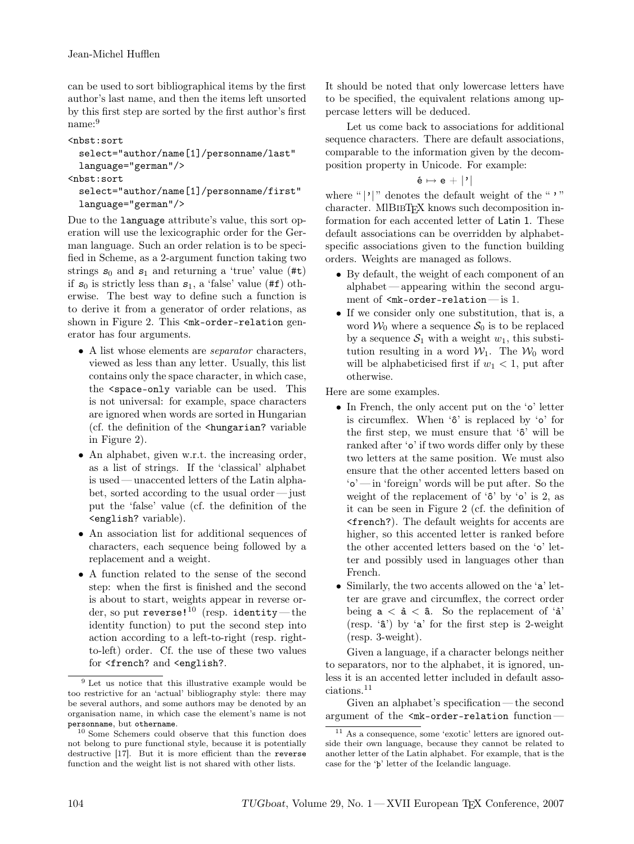can be used to sort bibliographical items by the first author's last name, and then the items left unsorted by this first step are sorted by the first author's first name:<sup>9</sup>

```
<nbst:sort
 select="author/name[1]/personname/last"
 language="german"/>
<nbst:sort
 select="author/name[1]/personname/first"
 language="german"/>
```
Due to the language attribute's value, this sort operation will use the lexicographic order for the German language. Such an order relation is to be specified in Scheme, as a 2-argument function taking two strings  $s_0$  and  $s_1$  and returning a 'true' value (#t) if  $s_0$  is strictly less than  $s_1$ , a 'false' value (#f) otherwise. The best way to define such a function is to derive it from a generator of order relations, as shown in Figure 2. This <mk-order-relation generator has four arguments.

- A list whose elements are separator characters, viewed as less than any letter. Usually, this list contains only the space character, in which case, the <space-only variable can be used. This is not universal: for example, space characters are ignored when words are sorted in Hungarian (cf. the definition of the <hungarian? variable in Figure 2).
- An alphabet, given w.r.t. the increasing order, as a list of strings. If the 'classical' alphabet is used — unaccented letters of the Latin alphabet, sorted according to the usual order — just put the 'false' value (cf. the definition of the <english? variable).
- An association list for additional sequences of characters, each sequence being followed by a replacement and a weight.
- A function related to the sense of the second step: when the first is finished and the second is about to start, weights appear in reverse order, so put reverse!<sup>10</sup> (resp. identity — the identity function) to put the second step into action according to a left-to-right (resp. rightto-left) order. Cf. the use of these two values for <french? and <english?.

It should be noted that only lowercase letters have to be specified, the equivalent relations among uppercase letters will be deduced.

Let us come back to associations for additional sequence characters. There are default associations, comparable to the information given by the decomposition property in Unicode. For example:

$$
\mathtt{\acute{e}}\mapsto \mathtt{e}+|\mathbf{\mathord{'}}|
$$

where " $| \cdot |$ " denotes the default weight of the " $\cdot$ " character. MIBIBTEX knows such decomposition information for each accented letter of Latin 1. These default associations can be overridden by alphabetspecific associations given to the function building orders. Weights are managed as follows.

- By default, the weight of each component of an alphabet — appearing within the second argument of <mk-order-relation - is 1.
- If we consider only one substitution, that is, a word  $W_0$  where a sequence  $S_0$  is to be replaced by a sequence  $S_1$  with a weight  $w_1$ , this substitution resulting in a word  $W_1$ . The  $W_0$  word will be alphabeticised first if  $w_1 < 1$ , put after otherwise.

Here are some examples.

- In French, the only accent put on the 'o' letter is circumflex. When 'ô' is replaced by 'o' for the first step, we must ensure that 'ô' will be ranked after 'o' if two words differ only by these two letters at the same position. We must also ensure that the other accented letters based on 'o' — in 'foreign' words will be put after. So the weight of the replacement of 'ô' by 'o' is 2, as it can be seen in Figure 2 (cf. the definition of <french?). The default weights for accents are higher, so this accented letter is ranked before the other accented letters based on the 'o' letter and possibly used in languages other than French.
- Similarly, the two accents allowed on the 'a' letter are grave and circumflex, the correct order being  $a < \tilde{a} < \tilde{a}$ . So the replacement of ' $\tilde{a}$ ' (resp. 'â') by 'a' for the first step is 2-weight (resp. 3-weight).

Given a language, if a character belongs neither to separators, nor to the alphabet, it is ignored, unless it is an accented letter included in default associations.<sup>11</sup>

Given an alphabet's specification — the second argument of the <mk-order-relation function-

<sup>9</sup> Let us notice that this illustrative example would be too restrictive for an 'actual' bibliography style: there may be several authors, and some authors may be denoted by an organisation name, in which case the element's name is not personname, but othername.

<sup>10</sup> Some Schemers could observe that this function does not belong to pure functional style, because it is potentially destructive [17]. But it is more efficient than the reverse function and the weight list is not shared with other lists.

<sup>11</sup> As a consequence, some 'exotic' letters are ignored outside their own language, because they cannot be related to another letter of the Latin alphabet. For example, that is the case for the 'þ' letter of the Icelandic language.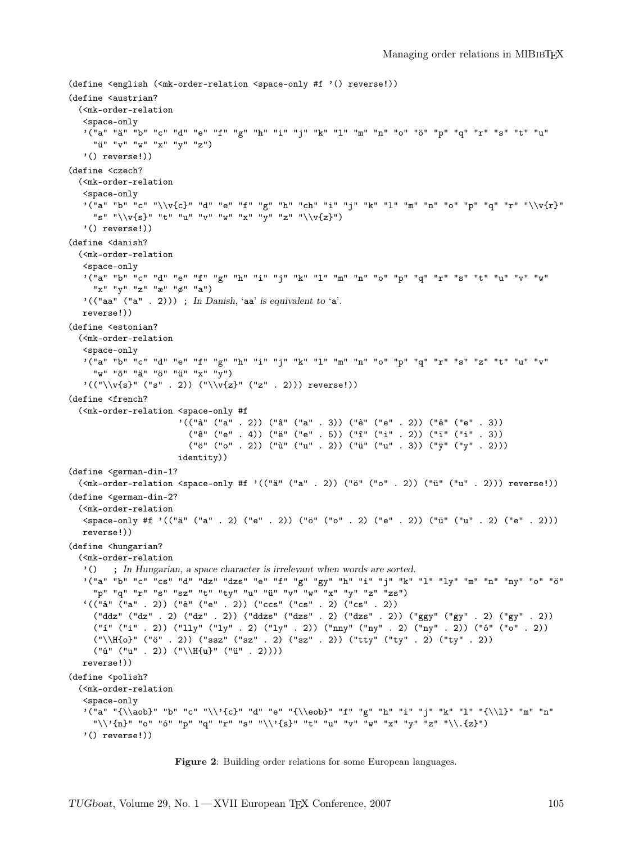```
(define <english (<mk-order-relation <space-only #f '() reverse!))
(define <austrian?
  (<mk-order-relation
  <space-only
   \mathcal{L}("a" "ä" "b" "c" "d" "e" "f" "g" "h" "i" "i" "k" "l" "m" "n" "o" "ö" "p" "q" "r" "s" "t" "u"
    "ü" "v" "w" "x" "y" "z")
   '() reverse!))
(define <czech?
  (<mk-order-relation
   <space-only
   '("a" "b" "c" "\\v{c}" "d" "e" "f" "g" "h" "ch" "i" "j" "k" "l" "m" "n" "o" "p" "q" "r" "\\v{r}"
    "s" "\\v{s}" "t" "u" "v" "w" "x" "y" "z" "\\v{z}"'() reverse!))
(define <danish?
 (<mk-order-relation
  <space-only
   '("a" "b" "c" "d" "e" "f" "g" "h" "i" "j" "k" "l" "m" "n" "o" "p" "q" "r" "s" "t" "u" "v" "w"
    "x" "y" "z" "æ" "ø" "a")
   '(("aa" ("a" . 2))) ; In Danish, 'aa' is equivalent to 'a'.
  reverse!))
(define <estonian?
  (<mk-order-relation
   <space-only
   '("a" "b" "c" "d" "e" "f" "g" "h" "i" "j" "k" "l" "m" "n" "o" "p" "q" "r" "s" "z" "t" "u" "v"
    "w" "õ" "ä" "ö" "ü" "x" "y")
   '(("\\varepsilon" "s" . 2)) ("\\v{z}" ("z" . 2))) \text{ reverse!})(define <french?
  (<mk-order-relation <space-only #f
                       '(("à" ("a" . 2)) ("â" ("a" . 3)) ("è" ("e" . 2)) ("é" ("e" . 3))
                         ("ê" ("e" . 4)) ("ë" ("e" . 5)) ("î" ("i" . 2)) ("ï" ("i" . 3))
                         ("ö" ("o" . 2)) ("ù" ("u" . 2)) ("ü" ("u" . 3)) ("ÿ" ("y" . 2)))
                      identity))
(define <german-din-1?
  (<mk-order-relation <space-only #f '(("ä" ("a" . 2)) ("ö" ("o" . 2)) ("ü" ("u" . 2))) reverse!))
(define <german-din-2?
  (<mk-order-relation
  \langlespace-only #f '(("ä" ("a" . 2) ("e" . 2)) ("ö" ("o" . 2) ("e" . 2)) ("ü" ("u" . 2) ("e" . 2)))
  reverse!))
(define <hungarian?
  (<mk-order-relation
   '() ; In Hungarian, a space character is irrelevant when words are sorted.
   '("a" "b" "c" "cs" "d" "dz" "dzs" "e" "f" "g" "gy" "h" "i" "j" "k" "l" "ly" "m" "n" "ny" "o" "ö"
    "p" "q" "r" "s" "sz" "t" "ty" "u" "ü" "v" "w" "x" "y" "z" "zs")
   '(("á" ("a" . 2)) ("é" ("e" . 2)) ("ccs" ("cs" . 2) ("cs" . 2))
     ("ddz" ("dz" . 2) ("dz" . 2)) ("ddzs" ("dzs" . 2) ("dzs" . 2)) ("ggy" ("gy" . 2) ("gy" . 2))
     ("í" ("i" . 2)) ("lly" ("ly" . 2) ("ly" . 2)) ("nny" ("ny" . 2) ("ny" . 2)) ("ó" ("o" . 2))
     (\sqrt{H_0})'' ("ö" . 2)) ("ssz" ("sz" . 2) ("sz" . 2)) ("tty" ("ty" . 2) ("ty" . 2))
     ("ii" ("u" . 2)) ("\\H{u}" ("ii" . 2))))reverse!))
(define <polish?
  (<mk-order-relation
   <space-only
   '("a" "{\\aob}" "b" "c" "\\'{c}" "d" "e" "{\\eob}" "f" "g" "h" "i" "j" "k" "l" "{\\l}" "m" "n"
    "\setminus\setminus\{n\}" "o" "ó" "p" "q" "r" "s" "\setminus\setminus\{s\}" "t" "u" "v" "w" "x" "y" "z" "\setminus\setminus\{z\}")
   '() reverse!))
```
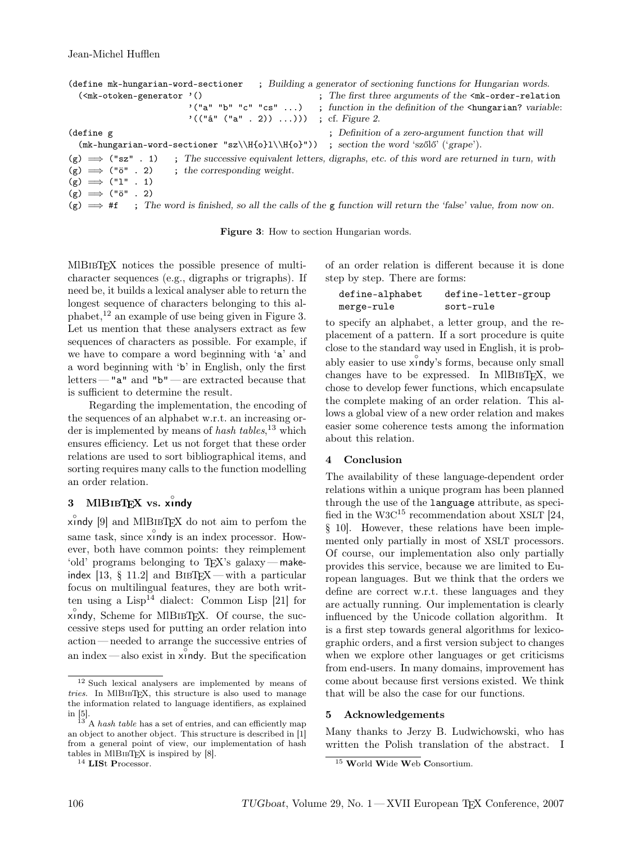| (define mk-hungarian-word-sectioner                                                                                                                                              | ; Building a generator of sectioning functions for Hungarian words.                         |
|----------------------------------------------------------------------------------------------------------------------------------------------------------------------------------|---------------------------------------------------------------------------------------------|
| $(\langle m\texttt{k}-otoken\texttt{generator'}\rangle)$                                                                                                                         | ; The first three arguments of the $\leq m$ k-order-relation                                |
|                                                                                                                                                                                  | $'$ ("a" "b" "c" "cs" ) ; function in the definition of the $\langle$ hungarian? variable:  |
| $'(("\texttt{á" ("a" . 2)) )))$ ; cf. Figure 2.                                                                                                                                  |                                                                                             |
| (define g<br>$(mk-hungarian-word-sectioner "sz\\H{o}l\\H{o}")$ ; section the word 'szőlő' ('grape').                                                                             | ; Definition of a zero-argument function that will                                          |
| $(g) \implies$ ("sz" . 1)<br>$(g) \implies$ (" $\ddot{o}$ " . 2) ; the corresponding weight.                                                                                     | ; The successive equivalent letters, digraphs, etc. of this word are returned in turn, with |
| $(g) \implies$ ("1" . 1)<br>$(g) \implies$ ("ö" . 2)<br>$(g) \implies #f$ ; The word is finished, so all the calls of the g function will return the 'false' value, from now on. |                                                                                             |

Figure 3: How to section Hungarian words.

MIBIBTEX notices the possible presence of multicharacter sequences (e.g., digraphs or trigraphs). If need be, it builds a lexical analyser able to return the longest sequence of characters belonging to this alphabet,  $12$  an example of use being given in Figure 3. Let us mention that these analysers extract as few sequences of characters as possible. For example, if we have to compare a word beginning with 'a' and a word beginning with 'b' in English, only the first letters — "a" and "b" — are extracted because that is sufficient to determine the result.

Regarding the implementation, the encoding of the sequences of an alphabet w.r.t. an increasing order is implemented by means of hash tables,<sup>13</sup> which ensures efficiency. Let us not forget that these order relations are used to sort bibliographical items, and sorting requires many calls to the function modelling an order relation.

# 3 MIBIBTEX vs. xindy

x ◦ ındy [9] and MlBibTEX do not aim to perfom the same task, since  $x \nmid \text{ndy}$  is an index processor. However, both have common points: they reimplement 'old' programs belonging to TEX's galaxy — makeindex [13, § 11.2] and  $BIBT<sub>E</sub>X$  — with a particular focus on multilingual features, they are both written using a  $Lisp^{14}$  dialect: Common Lisp [21] for xindy, Scheme for MIBIBTEX. Of course, the successive steps used for putting an order relation into action — needed to arrange the successive entries of an index—also exist in  $x \overrightarrow{)}$  andy. But the specification

 $^{14}$  LISt Processor.

of an order relation is different because it is done step by step. There are forms:

| define-alphabet | define-letter-group |
|-----------------|---------------------|
| merge-rule      | sort-rule           |

to specify an alphabet, a letter group, and the replacement of a pattern. If a sort procedure is quite close to the standard way used in English, it is probably easier to use xindy's forms, because only small changes have to be expressed. In MIBIBTEX, we chose to develop fewer functions, which encapsulate the complete making of an order relation. This allows a global view of a new order relation and makes easier some coherence tests among the information about this relation.

## 4 Conclusion

The availability of these language-dependent order relations within a unique program has been planned through the use of the language attribute, as specified in the  $W3C^{15}$  recommendation about XSLT [24, § 10]. However, these relations have been implemented only partially in most of XSLT processors. Of course, our implementation also only partially provides this service, because we are limited to European languages. But we think that the orders we define are correct w.r.t. these languages and they are actually running. Our implementation is clearly influenced by the Unicode collation algorithm. It is a first step towards general algorithms for lexicographic orders, and a first version subject to changes when we explore other languages or get criticisms from end-users. In many domains, improvement has come about because first versions existed. We think that will be also the case for our functions.

#### 5 Acknowledgements

Many thanks to Jerzy B. Ludwichowski, who has written the Polish translation of the abstract. I

<sup>12</sup> Such lexical analysers are implemented by means of tries. In MIBIBTEX, this structure is also used to manage the information related to language identifiers, as explained in [5].

 $13$ <sup>A</sup> A hash table has a set of entries, and can efficiently map an object to another object. This structure is described in [1] from a general point of view, our implementation of hash tables in MIBIBTEX is inspired by  $[8]$ .

<sup>15</sup> World Wide Web Consortium.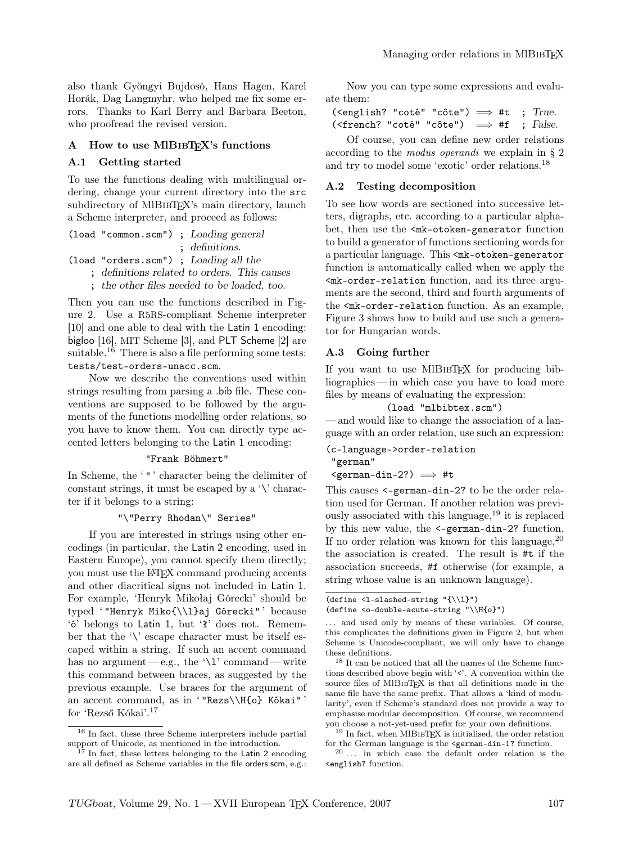also thank Gyöngyi Bujdosó, Hans Hagen, Karel Horák, Dag Langmyhr, who helped me fix some errors. Thanks to Karl Berry and Barbara Beeton, who proofread the revised version.

#### A How to use MIBIBTFX's functions

#### A.1 Getting started

To use the functions dealing with multilingual ordering, change your current directory into the src subdirectory of MIBIBT<sub>EX</sub>'s main directory, launch a Scheme interpreter, and proceed as follows:

(load "common.scm") ; Loading general ; definitions. (load "orders.scm") ; Loading all the ; definitions related to orders. This causes ; the other files needed to be loaded, too.

Then you can use the functions described in Figure 2. Use a R5RS-compliant Scheme interpreter [10] and one able to deal with the Latin 1 encoding: bigloo [16], MIT Scheme [3], and PLT Scheme [2] are suitable.<sup>16</sup> There is also a file performing some tests: tests/test-orders-unacc.scm.

Now we describe the conventions used within strings resulting from parsing a .bib file. These conventions are supposed to be followed by the arguments of the functions modelling order relations, so you have to know them. You can directly type accented letters belonging to the Latin 1 encoding:

#### "Frank Böhmert"

In Scheme, the '"' character being the delimiter of constant strings, it must be escaped by a  $\Diamond$  character if it belongs to a string:

#### "\"Perry Rhodan\" Series"

If you are interested in strings using other encodings (in particular, the Latin 2 encoding, used in Eastern Europe), you cannot specify them directly; you must use the LAT<sub>EX</sub> command producing accents and other diacritical signs not included in Latin 1. For example, 'Henryk Mikołaj Górecki' should be typed ' "Henryk Miko{\\l}aj Górecki" ' because 'ó' belongs to Latin 1, but 'ł' does not. Remember that the '\' escape character must be itself escaped within a string. If such an accent command has no argument — e.g., the  $\lq \lq l$  command — write this command between braces, as suggested by the previous example. Use braces for the argument of an accent command, as in ' "Rezs\\H{o} Kókai" ' for 'Rezső Kókai'.<sup>17</sup>

Now you can type some expressions and evaluate them:

 $(\text{$ (<french? "coté" "côte")  $\implies$  #f ; False.

Of course, you can define new order relations according to the modus operandi we explain in § 2 and try to model some 'exotic' order relations.<sup>18</sup>

#### A.2 Testing decomposition

To see how words are sectioned into successive letters, digraphs, etc. according to a particular alphabet, then use the <mk-otoken-generator function to build a generator of functions sectioning words for a particular language. This <mk-otoken-generator function is automatically called when we apply the <mk-order-relation function, and its three arguments are the second, third and fourth arguments of the <mk-order-relation function. As an example, Figure 3 shows how to build and use such a generator for Hungarian words.

#### A.3 Going further

If you want to use MIBIBTEX for producing bibliographies — in which case you have to load more files by means of evaluating the expression:

#### (load "mlbibtex.scm")

— and would like to change the association of a language with an order relation, use such an expression:

(c-language->order-relation "german"

<german-din-2?) =⇒ #t

This causes <-german-din-2? to be the order relation used for German. If another relation was previously associated with this language,<sup>19</sup> it is replaced by this new value, the <-german-din-2? function. If no order relation was known for this language,  $20$ the association is created. The result is #t if the association succeeds, #f otherwise (for example, a string whose value is an unknown language).

 $^{16}$  In fact, these three Scheme interpreters include partial support of Unicode, as mentioned in the introduction.

 $17$  In fact, these letters belonging to the Latin 2 encoding are all defined as Scheme variables in the file orders.scm, e.g.:

<sup>(</sup>define <l-slashed-string "{\\l}")

<sup>(</sup>define <o-double-acute-string "\\H{o}")

<sup>...</sup> and used only by means of these variables. Of course, this complicates the definitions given in Figure 2, but when Scheme is Unicode-compliant, we will only have to change these definitions.

 $^{18}$  It can be noticed that all the names of the Scheme functions described above begin with '<'. A convention within the source files of MIBIBTEX is that all definitions made in the same file have the same prefix. That allows a 'kind of modularity', even if Scheme's standard does not provide a way to emphasise modular decomposition. Of course, we recommend you choose a not-yet-used prefix for your own definitions.

 $19$  In fact, when MIBIBTEX is initialised, the order relation for the German language is the <german-din-1? function.

 $20$  ... in which case the default order relation is the <english? function.